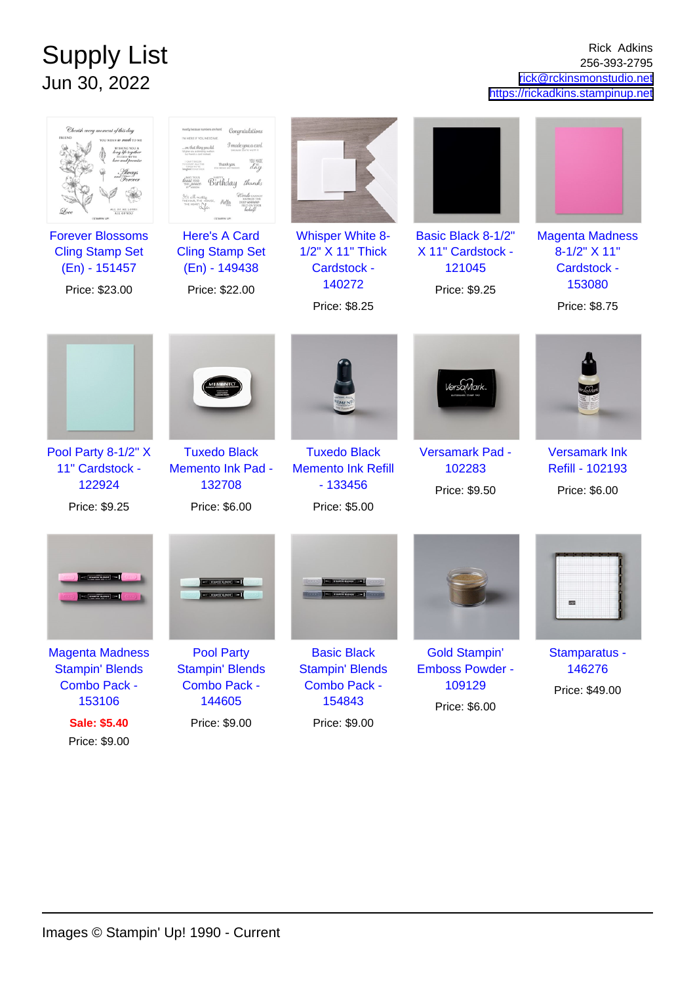## Supply List Jun 30, 2022

Rick Adkins 256-393-2795 [rick@rckinsmonstudio.net](mailto:rick@rckinsmonstudio.net) <https://rickadkins.stampinup.net>

| Cherish every moment of this day                                   | Congratulations<br>mostly because numbers are har<br>TM HERE IF YOU NEED ME<br>I made you a card<br>on that thing you did<br>day<br>Birthday <i>thanks</i> |                                                                                |                                                        |                                                          |
|--------------------------------------------------------------------|------------------------------------------------------------------------------------------------------------------------------------------------------------|--------------------------------------------------------------------------------|--------------------------------------------------------|----------------------------------------------------------|
| <b>Forever Blossoms</b><br><b>Cling Stamp Set</b><br>(En) - 151457 | <b>Here's A Card</b><br><b>Cling Stamp Set</b><br>(En) - 149438                                                                                            | <b>Whisper White 8-</b><br>1/2" X 11" Thick<br>Cardstock -                     | Basic Black 8-1/2"<br>X 11" Cardstock -<br>121045      | <b>Magenta Madness</b><br>8-1/2" X 11"<br>Cardstock -    |
| Price: \$23.00                                                     | Price: \$22.00                                                                                                                                             | 140272<br>Price: \$8.25                                                        | Price: \$9.25                                          | 153080<br>Price: \$8.75                                  |
| Pool Party 8-1/2" X<br>11" Cardstock -<br>122924<br>Price: \$9.25  | <b>Tuxedo Black</b><br><b>Memento Ink Pad -</b><br>132708<br>Price: \$6.00                                                                                 | <b>Tuxedo Black</b><br><b>Memento Ink Refill</b><br>$-133456$<br>Price: \$5.00 | /ersaMar<br>Versamark Pad -<br>102283<br>Price: \$9.50 | <b>Versamark Ink</b><br>Refill - 102193<br>Price: \$6.00 |
|                                                                    |                                                                                                                                                            |                                                                                |                                                        | 國                                                        |
| <b>Magenta Madness</b><br><b>Stampin' Blends</b>                   | <b>Pool Party</b><br><b>Stampin' Blends</b>                                                                                                                | <b>Basic Black</b><br><b>Stampin' Blends</b>                                   | <b>Gold Stampin'</b><br><b>Emboss Powder -</b>         | Stamparatus -<br>146276                                  |
| <b>Combo Pack -</b><br>153106                                      | <b>Combo Pack -</b><br>144605                                                                                                                              | <b>Combo Pack -</b><br>154843                                                  | 109129<br>Price: \$6.00                                | Price: \$49.00                                           |
| <b>Sale: \$5.40</b><br>Price: \$9.00                               | Price: \$9.00                                                                                                                                              | Price: \$9.00                                                                  |                                                        |                                                          |